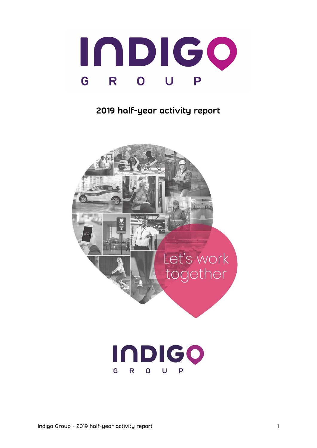

# 2019 half-year activity report

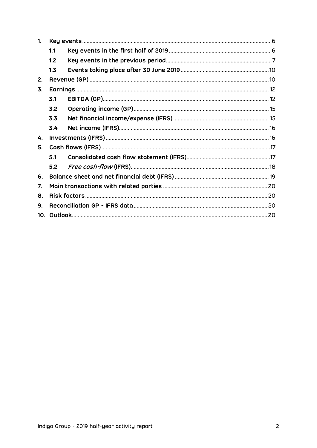| 1.              |     |  |
|-----------------|-----|--|
|                 | 1.1 |  |
|                 | 1.2 |  |
|                 | 1.3 |  |
| 2.              |     |  |
| 3.              |     |  |
|                 | 3.1 |  |
|                 | 3.2 |  |
|                 | 3.3 |  |
|                 | 3.4 |  |
| 4.              |     |  |
| 5.              |     |  |
|                 | 5.1 |  |
|                 | 5.2 |  |
| 6.              |     |  |
| 7.              |     |  |
| 8.              |     |  |
| 9.              |     |  |
| 10 <sub>1</sub> |     |  |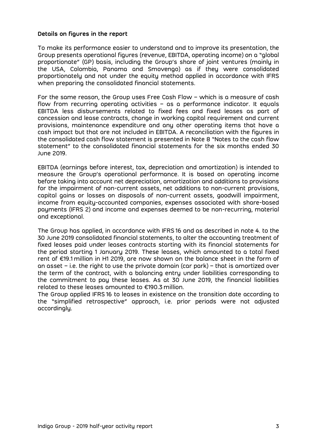#### Details on figures in the report

To make its performance easier to understand and to improve its presentation, the Group presents operational figures (revenue, EBITDA, operating income) on a "global proportionate" (GP) basis, including the Group's share of joint ventures (mainly in the USA, Colombia, Panama and Smovengo) as if they were consolidated proportionately and not under the equity method applied in accordance with IFRS when preparing the consolidated financial statements.

For the same reason, the Group uses Free Cash Flow – which is a measure of cash flow from recurring operating activities – as a performance indicator. It equals EBITDA less disbursements related to fixed fees and fixed leases as part of concession and lease contracts, change in working capital requirement and current provisions, maintenance expenditure and any other operating items that have a cash impact but that are not included in EBITDA. A reconciliation with the figures in the consolidated cash flow statement is presented in Note 8 "Notes to the cash flow statement" to the consolidated financial statements for the six months ended 30 June 2019.

EBITDA (earnings before interest, tax, depreciation and amortization) is intended to measure the Group's operational performance. It is based on operating income before taking into account net depreciation, amortization and additions to provisions for the impairment of non-current assets, net additions to non-current provisions, capital gains or losses on disposals of non-current assets, goodwill impairment, income from equity-accounted companies, expenses associated with share-based payments (IFRS 2) and income and expenses deemed to be non-recurring, material and exceptional.

The Group has applied, in accordance with IFRS 16 and as described in note 4. to the 30 June 2019 consolidated financial statements, to alter the accounting treatment of fixed leases paid under leases contracts starting with its financial statements for the period starting 1 January 2019. These leases, which amounted to a total fixed rent of €19.1 million in H1 2019, are now shown on the balance sheet in the form of an asset – i.e. the right to use the private domain (car park) – that is amortized over the term of the contract, with a balancing entry under liabilities corresponding to the commitment to pay these leases. As at 30 June 2019, the financial liabilities related to these leases amounted to €190.3 million.

The Group applied IFRS 16 to leases in existence on the transition date according to the "simplified retrospective" approach, i.e. prior periods were not adjusted accordingly.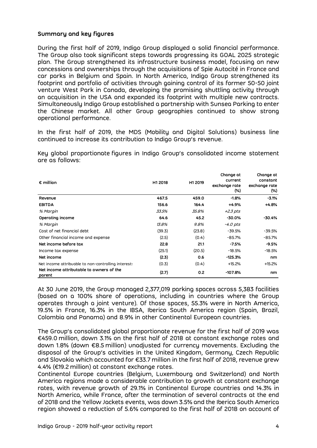## Summary and key figures

During the first half of 2019, Indigo Group displayed a solid financial performance. The Group also took significant steps towards progressing its GOAL 2025 strategic plan. The Group strengthened its infrastructure business model, focusing on new concessions and ownerships through the acquisitions of Spie Autocité in France and car parks in Belgium and Spain. In North America, Indigo Group strengthened its footprint and portfolio of activities through gaining control of its former 50-50 joint venture West Park in Canada, developing the promising shuttling activity through an acquisition in the USA and expanded its footprint with multiple new contracts. Simultaneously Indigo Group established a partnership with Sunsea Parking to enter the Chinese market. All other Group geographies continued to show strong operational performance.

| In the first half of 2019, the MDS (Mobility and Digital Solutions) business line<br>continued to increase its contribution to Indigo Group's revenue. |         |         |                                                 |                                                  |
|--------------------------------------------------------------------------------------------------------------------------------------------------------|---------|---------|-------------------------------------------------|--------------------------------------------------|
| Key global proportionate figures in Indigo Group's consolidated income statement<br>are as follows:                                                    |         |         |                                                 |                                                  |
| $\epsilon$ million                                                                                                                                     | H1 2018 | H1 2019 | Change at<br>current<br>exchange rate<br>$(\%)$ | Change at<br>constant<br>exchange rate<br>$(\%)$ |
| Revenue                                                                                                                                                | 467.5   | 459.0   | $-1.8%$                                         | $-3.1%$                                          |
| <b>EBITDA</b>                                                                                                                                          | 156.6   | 164.4   | $+4.9%$                                         | $+4.8%$                                          |
| % Margin                                                                                                                                               | 33.5%   | 35.8%   | $+2.3$ pts                                      |                                                  |
| Operating income                                                                                                                                       | 64.6    | 45.2    | $-30.0%$                                        | $-30.4%$                                         |
| % Margin                                                                                                                                               | 13.8%   | 9.8%    | $-4.0$ pts                                      |                                                  |
| Cost of net financial debt                                                                                                                             | (39.3)  | (23.8)  | $-39.5%$                                        | $-39.5%$                                         |
| Other financial income and expense                                                                                                                     | (2.5)   | (0.4)   | $-85.7%$                                        | $-85.7%$                                         |
| Net income before tax                                                                                                                                  | 22.8    | 21.1    | $-7.5%$                                         | $-9.5%$                                          |
| Income tax expense                                                                                                                                     | (25.1)  | (20.5)  | $-18.5%$                                        | $-18.5%$                                         |
| Net income                                                                                                                                             | (2.3)   | 0.6     | $-125.3%$                                       | nm                                               |
| Net income attribuable to non-controlling interest:                                                                                                    | (0.3)   | (0.4)   | $+15.2%$                                        | $+15.2%$                                         |
| Net income attributable to owners of the<br>parent                                                                                                     | (2.7)   | 0.2     | -107.8%                                         | nm                                               |

At 30 June 2019, the Group managed 2,377,019 parking spaces across 5,383 facilities (based on a 100% share of operations, including in countries where the Group operates through a joint venture). Of those spaces, 55.3% were in North America, 19.5% in France, 16.3% in the IBSA, Iberica South America region (Spain, Brazil, Colombia and Panama) and 8.9% in other Continental European countries.

The Group's consolidated global proportionate revenue for the first half of 2019 was €459.0 million, down 3.1% on the first half of 2018 at constant exchange rates and down 1.8% (down €8.5 million) unadjusted for currency movements. Excluding the disposal of the Group's activities in the United Kingdom, Germany, Czech Republic and Slovakia which accounted for €33.7 million in the first half of 2018, revenue grew 4.4% (€19.2 million) at constant exchange rates.

Continental Europe countries (Belgium, Luxembourg and Switzerland) and North America regions made a considerable contribution to growth at constant exchange rates, with revenue growth of 29.1% in Continental Europe countries and 14.3% in North America, while France, after the termination of several contracts at the end of 2018 and the Yellow Jackets events, was down 3.5% and the Iberica South America region showed a reduction of 5.6% compared to the first half of 2018 on account of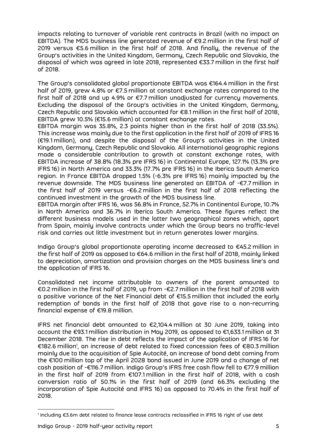impacts relating to turnover of variable rent contracts in Brazil (with no impact on EBITDA). The MDS business line generated revenue of €9.2 million in the first half of 2019 versus €5.6 million in the first half of 2018. And finally, the revenue of the Group's activities in the United Kingdom, Germany, Czech Republic and Slovakia, the disposal of which was agreed in late 2018, represented €33.7 million in the first half of 2018.

The Group's consolidated global proportionate EBITDA was €164.4 million in the first half of 2019, grew 4.8% or €7.5 million at constant exchange rates compared to the first half of 2018 and up 4.9% or €7.7 million unadjusted for currency movements. Excluding the disposal of the Group's activities in the United Kingdom, Germany, Czech Republic and Slovakia which accounted for €8.1 million in the first half of 2018, EBITDA grew 10.5% (€15.6 million) at constant exchange rates.

EBITDA margin was 35.8%, 2.3 points higher than in the first half of 2018 (33.5%). This increase was mainly due to the first application in the first half of 2019 of IFRS 16 (€19.1 million), and despite the disposal of the Group's activities in the United Kingdom, Germany, Czech Republic and Slovakia. All international geographic regions made a considerable contribution to growth at constant exchange rates, with EBITDA increase of 38.8% (18.3% pre IFRS 16) in Continental Europe, 127.1% (13.3% pre IFRS 16) in North America and 33.3% (17.7% pre IFRS 16) in the Iberica South America region. In France EBITDA dropped 1.5% (-6.3% pre IFRS 16) mainly impacted by the revenue downside. The MDS business line generated an EBITDA of -€7.7 million in the first half of 2019 versus -€6.2 million in the first half of 2018 reflecting the continued investment in the growth of the MDS business line.

EBITDA margin after IFRS 16, was 56.8% in France, 52.7% in Continental Europe, 10.7% in North America and 36.7% in Iberica South America. These figures reflect the different business models used in the latter two geographical zones which, apart from Spain, mainly involve contracts under which the Group bears no traffic-level risk and carries out little investment but in return generates lower margins.

Indigo Group's global proportionate operating income decreased to €45.2 million in the first half of 2019 as opposed to €64.6 million in the first half of 2018, mainly linked to depreciation, amortization and provision charges on the MDS business line's and the application of IFRS 16.

Consolidated net income attributable to owners of the parent amounted to €0.2 million in the first half of 2019, up from -€2.7 million in the first half of 2018 with a positive variance of the Net Financial debt of €15.5 million that included the early redemption of bonds in the first half of 2018 that gave rise to a non-recurring financial expense of €19.8 million.

IFRS net financial debt amounted to €2,104.4 million at 30 June 2019, taking into account the €93.1 million distribution in May 2019, as opposed to €1,633.1 million at 31 December 2018. The rise in debt reflects the impact of the application of IFRS 16 for €182.6 million<sup>1</sup> , an increase of debt related to fixed concession fees of €80.3 million mainly due to the acquisition of Spie Autocité, an increase of bond debt coming from the €100 million tap of the April 2028 bond issued in June 2019 and a change of net cash position of -€116.7 million. Indigo Group's IFRS free cash flow fell to €77.9 million in the first half of 2019 from €107.1 million in the first half of 2018, with a cash conversion ratio of 50.1% in the first half of 2019 (and 66.3% excluding the incorporation of Spie Autocité and IFRS 16) as opposed to 70.4% in the first half of 2018.

<sup>-</sup>1 Including €3.6m debt related to finance lease contracts reclassified in IFRS 16 right of use debt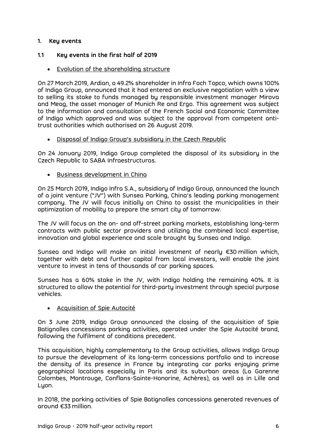## 1. Key events

## 1.1 Key events in the first half of 2019

Evolution of the shareholding structure

On 27 March 2019, Ardian, a 49.2% shareholder in Infra Foch Topco, which owns 100% of Indigo Group, announced that it had entered an exclusive negotiation with a view to selling its stake to funds managed by responsible investment manager Mirova and Meag, the asset manager of Munich Re and Ergo. This agreement was subject to the information and consultation of the French Social and Economic Committee of Indigo which approved and was subject to the approval from competent antitrust authorities which authorised on 26 August 2019.

Disposal of Indigo Group's subsidiary in the Czech Republic

On 24 January 2019, Indigo Group completed the disposal of its subsidiary in the Czech Republic to SABA Infraestructuras.

**Business development in China** 

On 25 March 2019, Indigo Infra S.A., subsidiary of Indigo Group, announced the launch of a joint venture ("JV") with Sunsea Parking, China's leading parking management company. The JV will focus initially on China to assist the municipalities in their optimization of mobility to prepare the smart city of tomorrow.

The JV will focus on the on- and off-street parking markets, establishing long-term contracts with public sector providers and utilizing the combined local expertise, innovation and global experience and scale brought by Sunsea and Indigo.

Sunsea and Indigo will make an initial investment of nearly €30 million which, together with debt and further capital from local investors, will enable the joint venture to invest in tens of thousands of car parking spaces.

Sunsea has a 60% stake in the JV, with Indigo holding the remaining 40%. It is structured to allow the potential for third-party investment through special purpose vehicles.

Acquisition of Spie Autocité

On 3 June 2019, Indigo Group announced the closing of the acquisition of Spie Batignolles concessions parking activities, operated under the Spie Autocité brand, following the fulfilment of conditions precedent.

This acquisition, highly complementary to the Group activities, allows Indigo Group to pursue the development of its long-term concessions portfolio and to increase the density of its presence in France by integrating car parks enjoying prime geographical locations especially in Paris and its suburban areas (La Garenne Colombes, Montrouge, Conflans-Sainte-Honorine, Achères), as well as in Lille and Lyon.

In 2018, the parking activities of Spie Batignolles concessions generated revenues of around €33 million.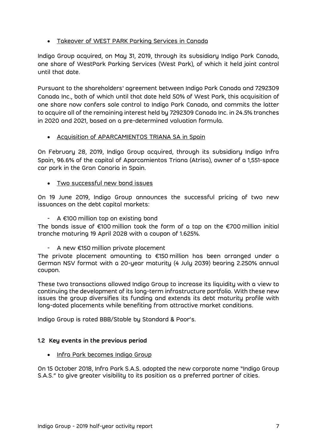• Takeover of WEST PARK Parking Services in Canada

Indigo Group acquired, on May 31, 2019, through its subsidiary Indigo Park Canada, one share of WestPark Parking Services (West Park), of which it held joint control until that date.

Pursuant to the shareholders' agreement between Indigo Park Canada and 7292309 Canada Inc., both of which until that date held 50% of West Park, this acquisition of one share now confers sole control to Indigo Park Canada, and commits the latter to acquire all of the remaining interest held by 7292309 Canada Inc. in 24.5% tranches in 2020 and 2021, based on a pre-determined valuation formula.

Acquisition of APARCAMIENTOS TRIANA SA in Spain

On February 28, 2019, Indigo Group acquired, through its subsidiary Indigo Infra Spain, 96.6% of the capital of Aparcamientos Triana (Atrisa), owner of a 1,551-space car park in the Gran Canaria in Spain.

Two successful new bond issues

On 19 June 2019, Indigo Group announces the successful pricing of two new issuances on the debt capital markets:

- A €100 million tap on existing bond

The bonds issue of €100 million took the form of a tap on the €700 million initial tranche maturing 19 April 2028 with a coupon of 1.625%.

- A new €150 million private placement

The private placement amounting to €150 million has been arranged under a German NSV format with a 20-year maturity (4 July 2039) bearing 2.250% annual coupon.

These two transactions allowed Indigo Group to increase its liquidity with a view to continuing the development of its long-term infrastructure portfolio. With these new issues the group diversifies its funding and extends its debt maturity profile with long-dated placements while benefiting from attractive market conditions.

Indigo Group is rated BBB/Stable by Standard & Poor's.

# 1.2 Key events in the previous period

• Infra Park becomes Indigo Group

On 15 October 2018, Infra Park S.A.S. adopted the new corporate name "Indigo Group S.A.S." to give greater visibility to its position as a preferred partner of cities.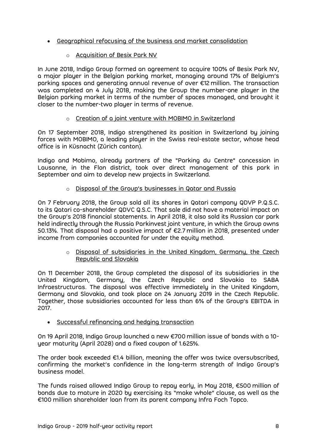- Geographical refocusing of the business and market consolidation
	- o Acquisition of Besix Park NV

In June 2018, Indigo Group formed an agreement to acquire 100% of Besix Park NV, a major player in the Belgian parking market, managing around 17% of Belgium's parking spaces and generating annual revenue of over €12 million. The transaction was completed on 4 July 2018, making the Group the number-one player in the Belgian parking market in terms of the number of spaces managed, and brought it closer to the number-two player in terms of revenue.

# o Creation of a joint venture with MOBIMO in Switzerland

On 17 September 2018, Indigo strengthened its position in Switzerland by joining forces with MOBIMO, a leading player in the Swiss real-estate sector, whose head office is in Küsnacht (Zürich canton).

Indigo and Mobimo, already partners of the "Parking du Centre" concession in Lausanne, in the Flon district, took over direct management of this park in September and aim to develop new projects in Switzerland.

# o Disposal of the Group's businesses in Qatar and Russia

On 7 February 2018, the Group sold all its shares in Qatari company QDVP P.Q.S.C. to its Qatari co-shareholder QDVC Q.S.C. That sale did not have a material impact on the Group's 2018 financial statements. In April 2018, it also sold its Russian car park held indirectly through the Russia Parkinvest joint venture, in which the Group owns 50.13%. That disposal had a positive impact of €2.7 million in 2018, presented under income from companies accounted for under the equity method.

> $\circ$  Disposal of subsidiaries in the United Kingdom, Germany, the Czech Republic and Slovakia

On 11 December 2018, the Group completed the disposal of its subsidiaries in the United Kingdom, Germany, the Czech Republic and Slovakia to SABA Infraestructuras. The disposal was effective immediately in the United Kingdom, Germany and Slovakia, and took place on 24 January 2019 in the Czech Republic. Together, those subsidiaries accounted for less than 6% of the Group's EBITDA in 2017.

Successful refinancing and hedging transaction

On 19 April 2018, Indigo Group launched a new €700 million issue of bonds with a 10 year maturity (April 2028) and a fixed coupon of 1.625%.

The order book exceeded €1.4 billion, meaning the offer was twice oversubscribed, confirming the market's confidence in the long-term strength of Indigo Group's business model.

The funds raised allowed Indigo Group to repay early, in May 2018, €500 million of bonds due to mature in 2020 by exercising its "make whole" clause, as well as the €100 million shareholder loan from its parent company Infra Foch Topco.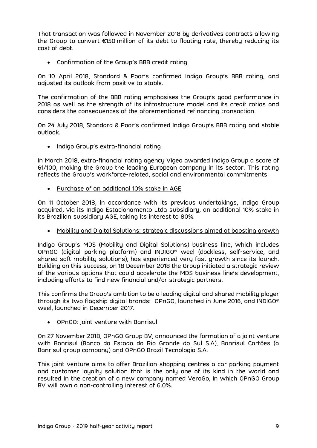That transaction was followed in November 2018 by derivatives contracts allowing the Group to convert €150 million of its debt to floating rate, thereby reducing its cost of debt.

Confirmation of the Group's BBB credit rating

On 10 April 2018, Standard & Poor's confirmed Indigo Group's BBB rating, and adjusted its outlook from positive to stable.

The confirmation of the BBB rating emphasises the Group's good performance in 2018 as well as the strength of its infrastructure model and its credit ratios and considers the consequences of the aforementioned refinancing transaction.

On 24 July 2018, Standard & Poor's confirmed Indigo Group's BBB rating and stable outlook.

• Indigo Group's extra-financial rating

In March 2018, extra-financial rating agency Vigeo awarded Indigo Group a score of 61/100, making the Group the leading European company in its sector. This rating reflects the Group's workforce-related, social and environmental commitments.

Purchase of an additional 10% stake in AGE

On 11 October 2018, in accordance with its previous undertakings, Indigo Group acquired, via its Indigo Estacionamento Ltda subsidiary, an additional 10% stake in its Brazilian subsidiary AGE, taking its interest to 80%.

Mobility and Digital Solutions: strategic discussions aimed at boosting growth

Indigo Group's MDS (Mobility and Digital Solutions) business line, which includes OPnGO (digital parking platform) and INDIGO® weel (dockless, self-service, and shared soft mobility solutions), has experienced very fast growth since its launch. Building on this success, on 18 December 2018 the Group initiated a strategic review of the various options that could accelerate the MDS business line's development, including efforts to find new financial and/or strategic partners.

This confirms the Group's ambition to be a leading digital and shared mobility player through its two flagship digital brands: OPnGO, launched in June 2016, and INDIGO® weel, launched in December 2017.

OPnGO: joint venture with Banrisul

On 27 November 2018, OPnGO Group BV, announced the formation of a joint venture with Banrisul (Banco do Estado do Rio Grande do Sul S.A), Banrisul Cartões (a Banrisul group company) and OPnGO Brazil Tecnologia S.A.

This joint venture aims to offer Brazilian shopping centres a car parking payment and customer loyalty solution that is the only one of its kind in the world and resulted in the creation of a new company named VeroGo, in which OPnGO Group BV will own a non-controlling interest of 6.0%.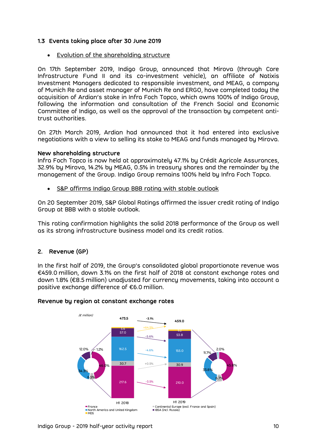## 1.3 Events taking place after 30 June 2019

Evolution of the shareholding structure

On 17th September 2019, Indigo Group, announced that Mirova (through Core Infrastructure Fund II and its co-investment vehicle), an affiliate of Natixis Investment Managers dedicated to responsible investment, and MEAG, a company of Munich Re and asset manager of Munich Re and ERGO, have completed today the acquisition of Ardian's stake in Infra Foch Topco, which owns 100% of Indigo Group, following the information and consultation of the French Social and Economic Committee of Indigo, as well as the approval of the transaction by competent antitrust authorities.

On 27th March 2019, Ardian had announced that it had entered into exclusive negotiations with a view to selling its stake to MEAG and funds managed by Mirova.

#### New shareholding structure

Infra Foch Topco is now held at approximately 47.1% by Crédit Agricole Assurances, 32.9% by Mirova, 14.2% by MEAG, 0.5% in treasury shares and the remainder by the management of the Group. Indigo Group remains 100% held by Infra Foch Topco.

• S&P affirms Indigo Group BBB rating with stable outlook

On 20 September 2019, S&P Global Ratings affirmed the issuer credit rating of Indigo Group at BBB with a stable outlook.

This rating confirmation highlights the solid 2018 performance of the Group as well as its strong infrastructure business model and its credit ratios.

# 2. Revenue (GP)

In the first half of 2019, the Group's consolidated global proportionate revenue was €459.0 million, down 3.1% on the first half of 2018 at constant exchange rates and down 1.8% (€8.5 million) unadjusted for currency movements, taking into account a positive exchange difference of €6.0 million.



#### Revenue by region at constant exchange rates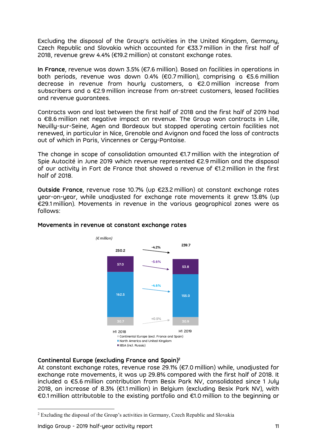Excluding the disposal of the Group's activities in the United Kingdom, Germany, Czech Republic and Slovakia which accounted for €33.7 million in the first half of 2018, revenue grew 4.4% (€19.2 million) at constant exchange rates.

In France, revenue was down 3.5% (€7.6 million). Based on facilities in operations in both periods, revenue was down 0.4% (€0.7 million), comprising a €5.6 million decrease in revenue from hourly customers, a €2.0 million increase from subscribers and a €2.9 million increase from on-street customers, leased facilities and revenue guarantees.

Contracts won and lost between the first half of 2018 and the first half of 2019 had a €8.6 million net negative impact on revenue. The Group won contracts in Lille, Neuilly-sur-Seine, Agen and Bordeaux but stopped operating certain facilities not renewed, in particular in Nice, Grenoble and Avignon and faced the loss of contracts out of which in Paris, Vincennes or Cergy-Pontoise.

The change in scope of consolidation amounted €1.7 million with the integration of Spie Autocité in June 2019 which revenue represented €2.9 million and the disposal of our activity in Fort de France that showed a revenue of €1.2 million in the first half of 2018.

Outside France, revenue rose 10.7% (up €23.2 million) at constant exchange rates year-on-year, while unadjusted for exchange rate movements it grew 13.8% (up €29.1 million). Movements in revenue in the various geographical zones were as follows:



# Movements in revenue at constant exchange rates

# Continental Europe (excluding France and Spain)<sup>2</sup>

At constant exchange rates, revenue rose 29.1% (€7.0 million) while, unadjusted for exchange rate movements, it was up 29.8% compared with the first half of 2018. It included a €5.6 million contribution from Besix Park NV, consolidated since 1 July 2018, an increase of 8.3% (€1.1 million) in Belgium (excluding Besix Park NV), with €0.1 million attributable to the existing portfolio and €1.0 million to the beginning or

-

<sup>&</sup>lt;sup>2</sup> Excluding the disposal of the Group's activities in Germany, Czech Republic and Slovakia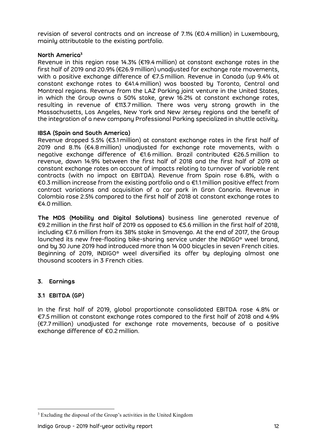revision of several contracts and an increase of 7.1% (€0.4 million) in Luxembourg, mainly attributable to the existing portfolio.

# North America<sup>3</sup>

Revenue in this region rose 14.3% (€19.4 million) at constant exchange rates in the first half of 2019 and 20.9% (€26.9 million) unadjusted for exchange rate movements, with a positive exchange difference of €7.5 million. Revenue in Canada (up 9.4% at constant exchange rates to €41.4 million) was boosted by Toronto, Central and Montreal regions. Revenue from the LAZ Parking joint venture in the United States, in which the Group owns a 50% stake, grew 16.2% at constant exchange rates, resulting in revenue of €113.7 million. There was very strong growth in the Massachusetts, Los Angeles, New York and New Jersey regions and the benefit of the integration of a new company Professional Parking specialized in shuttle activity.

## IBSA (Spain and South America)

Revenue dropped 5.5% (€3.1 million) at constant exchange rates in the first half of 2019 and 8.1% (€4.8 million) unadjusted for exchange rate movements, with a negative exchange difference of €1.6 million. Brazil contributed €26.5 million to revenue, down 14.9% between the first half of 2018 and the first half of 2019 at constant exchange rates on account of impacts relating to turnover of variable rent contracts (with no impact on EBITDA). Revenue from Spain rose 6.8%, with a €0.3 million increase from the existing portfolio and a €1.1 million positive effect from contract variations and acquisition of a car park in Gran Canaria. Revenue in Colombia rose 2.5% compared to the first half of 2018 at constant exchange rates to €4.0 million.

The MDS (Mobility and Digital Solutions) business line generated revenue of €9.2 million in the first half of 2019 as opposed to €5.6 million in the first half of 2018, including €7.6 million from its 38% stake in Smovengo. At the end of 2017, the Group launched its new free-floating bike-sharing service under the INDIGO® weel brand, and by 30 June 2019 had introduced more than 14 000 bicycles in seven French cities. Beginning of 2019, INDIGO® weel diversified its offer by deploying almost one thousand scooters in 3 French cities.

# 3. Earnings

-

# 3.1 EBITDA (GP)

In the first half of 2019, global proportionate consolidated EBITDA rose 4.8% or €7.5 million at constant exchange rates compared to the first half of 2018 and 4.9% (€7.7 million) unadjusted for exchange rate movements, because of a positive exchange difference of €0.2 million.

<sup>&</sup>lt;sup>3</sup> Excluding the disposal of the Group's activities in the United Kingdom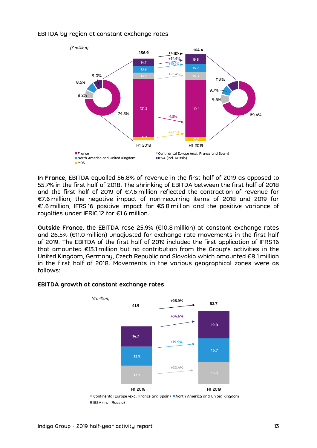#### EBITDA by region at constant exchange rates



In France, EBITDA equalled 56.8% of revenue in the first half of 2019 as opposed to 55.7% in the first half of 2018. The shrinking of EBITDA between the first half of 2018 and the first half of 2019 of €7.6 million reflected the contraction of revenue for €7.6 million, the negative impact of non-recurring items of 2018 and 2019 for €1.6 million, IFRS 16 positive impact for €5.8 million and the positive variance of roualties under IFRIC 12 for €1.6 million.

Outside France, the EBITDA rose 25.9% (€10.8 million) at constant exchange rates and 26.5% (€11.0 million) unadjusted for exchange rate movements in the first half of 2019. The EBITDA of the first half of 2019 included the first application of IFRS 16 that amounted €13.1 million but no contribution from the Group's activities in the United Kingdom, Germany, Czech Republic and Slovakia which amounted €8.1 million in the first half of 2018. Movements in the various geographical zones were as follows:



#### EBITDA growth at constant exchange rates

■ Continental Europe (excl. France and Spain) ■ North America and United Kingdom **IBSA** (incl. Russia)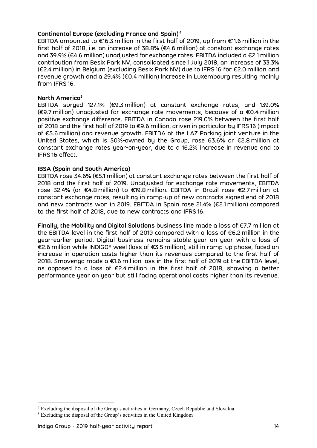## Continental Europe (excluding France and Spain)<sup>4</sup>

EBITDA amounted to €16.3 million in the first half of 2019, up from €11.6 million in the first half of 2018, i.e. an increase of 38.8% (€4.6 million) at constant exchange rates and 39.9% (€4.6 million) unadjusted for exchange rates. EBITDA included a €2.1 million contribution from Besix Park NV, consolidated since 1 July 2018, an increase of 33.3% (€2.4 million) in Belgium (excluding Besix Park NV) due to IFRS 16 for €2.0 million and revenue growth and a 29.4% (€0.4 million) increase in Luxembourg resulting mainly from IFRS 16.

#### North America<sup>5</sup>

EBITDA surged 127.1% (€9.3 million) at constant exchange rates, and 139.0% (€9.7 million) unadjusted for exchange rate movements, because of a €0.4 million positive exchange difference. EBITDA in Canada rose 219.0% between the first half of 2018 and the first half of 2019 to €9.6 million, driven in particular by IFRS 16 (impact of €5.6 million) and revenue growth. EBITDA at the LAZ Parking joint venture in the United States, which is 50%-owned by the Group, rose 63.6% or €2.8 million at constant exchange rates year-on-year, due to a 16.2% increase in revenue and to IFRS 16 effect.

#### IBSA (Spain and South America)

EBITDA rose 34.6% (€5.1 million) at constant exchange rates between the first half of 2018 and the first half of 2019. Unadjusted for exchange rate movements, EBITDA rose 32.4% (or €4.8 million) to €19.8 million. EBITDA in Brazil rose €2.7 million at constant exchange rates, resulting in ramp-up of new contracts signed end of 2018 and new contracts won in 2019. EBITDA in Spain rose 21.4% (€2.1 million) compared to the first half of 2018, due to new contracts and IFRS 16.

Finally, the Mobility and Digital Solutions business line made a loss of €7.7 million at the EBITDA level in the first half of 2019 compared with a loss of €6.2 million in the year-earlier period. Digital business remains stable year on year with a loss of €2.6 million while INDIGO® weel (loss of €3.5 million), still in ramp-up phase, faced an increase in operation costs higher than its revenues compared to the first half of 2018. Smovengo made a €1.6 million loss in the first half of 2019 at the EBITDA level, as opposed to a loss of €2.4 million in the first half of 2018, showing a better performance year on year but still facing operational costs higher than its revenue.

-

<sup>&</sup>lt;sup>4</sup> Excluding the disposal of the Group's activities in Germany, Czech Republic and Slovakia

<sup>&</sup>lt;sup>5</sup> Excluding the disposal of the Group's activities in the United Kingdom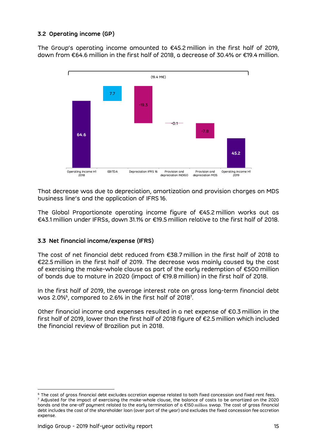# 3.2 Operating income (GP)

The Group's operating income amounted to €45.2 million in the first half of 2019, down from €64.6 million in the first half of 2018, a decrease of 30.4% or €19.4 million.



That decrease was due to depreciation, amortization and provision charges on MDS business line's and the application of IFRS 16.

The Global Proportionate operating income figure of €45.2 million works out as €43.1 million under IFRSs, down 31.1% or €19.5 million relative to the first half of 2018.

# 3.3 Net financial income/expense (IFRS)

The cost of net financial debt reduced from €38.7 million in the first half of 2018 to €22.5 million in the first half of 2019. The decrease was mainly caused by the cost of exercising the make-whole clause as part of the early redemption of €500 million of bonds due to mature in 2020 (impact of €19.8 million) in the first half of 2018.

In the first half of 2019, the average interest rate on gross long-term financial debt was 2.0%<sup>6</sup>, compared to 2.6% in the first half of 2018<sup>7</sup>.

Other financial income and expenses resulted in a net expense of €0.3 million in the first half of 2019, lower than the first half of 2018 figure of €2.5 million which included the financial review of Brazilian put in 2018.

-

 $6$  The cost of gross financial debt excludes accretion expense related to both fixed concession and fixed rent fees. 7 Adjusted for the impact of exercising the make-whole clause, the balance of costs to be amortized on the 2020 bonds and the one-off payment related to the early termination of a €150 million swap. The cost of gross financial debt includes the cost of the shareholder loan (over part of the year) and excludes the fixed concession fee accretion expense.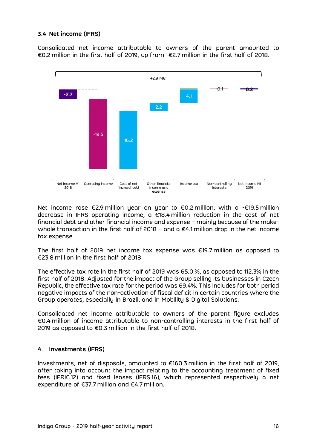# 3.4 Net income (IFRS)

Consolidated net income attributable to owners of the parent amounted to €0.2 million in the first half of 2019, up from -€2.7 million in the first half of 2018.



Net income rose €2.9 million year on year to €0.2 million, with a -€19.5 million decrease in IFRS operating income, a €18.4 million reduction in the cost of net financial debt and other financial income and expense – mainly because of the makewhole transaction in the first half of 2018 – and a €4.1 million drop in the net income tax expense.

The first half of 2019 net income tax expense was €19.7 million as opposed to €23.8 million in the first half of 2018.

The effective tax rate in the first half of 2019 was 65.0.%, as opposed to 112.3% in the first half of 2018. Adjusted for the impact of the Group selling its businesses in Czech Republic, the effective tax rate for the period was 69.4%. This includes for both period negative impacts of the non-activation of fiscal deficit in certain countries where the Group operates, especially in Brazil, and in Mobility & Digital Solutions.

Consolidated net income attributable to owners of the parent figure excludes €0.4 million of income attributable to non-controlling interests in the first half of 2019 as opposed to €0.3 million in the first half of 2018.

# 4. Investments (IFRS)

Investments, net of disposals, amounted to €160.3 million in the first half of 2019, after taking into account the impact relating to the accounting treatment of fixed fees (IFRIC 12) and fixed leases (IFRS 16), which represented respectively a net expenditure of €37.7 million and €4.7 million.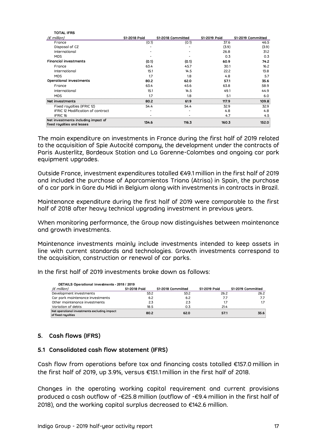| <b>TOTAL IFRS</b>                                                 |              |                   |              |                   |
|-------------------------------------------------------------------|--------------|-------------------|--------------|-------------------|
| $(\epsilon$ million)                                              | S1-2018 Paid | S1-2018 Committed | S1-2019 Paid | S1-2019 Committed |
| France                                                            | (0.1)        | (0.1)             | 37.6         | 46.5              |
| Disposal of CZ                                                    |              |                   | (3.9)        | (3.9)             |
| International                                                     |              |                   | 26.8         | 31.2              |
| <b>MDS</b>                                                        |              |                   | 0.3          | 0.3               |
| <b>Financial investments</b>                                      | (0.1)        | (0.1)             | 60.9         | 74.2              |
| France                                                            | 63.4         | 45.7              | 30.1         | 16.2              |
| International                                                     | 15.1         | 14.5              | 22.2         | 13.8              |
| <b>MDS</b>                                                        | 1.7          | 1.8               | 4.8          | 5.7               |
| Operational investments                                           | 80.2         | 62.0              | 57.1         | 35.6              |
| France                                                            | 63.4         | 45.6              | 63.8         | 58.9              |
| International                                                     | 15.1         | 14.5              | 49.1         | 44.9              |
| <b>MDS</b>                                                        | 1.7          | 1.8               | 5.1          | 6.0               |
| Net investments                                                   | 80.2         | 61.9              | 117.9        | 109.8             |
| Fixed royalties (IFRIC 12)                                        | 54.4         | 54.4              | 32.9         | 32.9              |
| IFRIC 12 Modification of contract                                 |              |                   | 4.8          | 4.8               |
| IFRIC <sub>16</sub>                                               |              |                   | 4.7          | 4.5               |
| Net investments including impact of<br>fixed royalties and leases | 134.6        | 116.3             | 160.3        | 152.0             |

The main expenditure on investments in France during the first half of 2019 related to the acquisition of Spie Autocité company, the development under the contracts of Paris Austerlitz, Bordeaux Station and La Garenne-Colombes and ongoing car park equipment upgrades.

Outside France, investment expenditures totalled €49.1 million in the first half of 2019 and included the purchase of Aparcamientos Triana (Atrisa) in Spain, the purchase of a car park in Gare du Midi in Belgium along with investments in contracts in Brazil.

Maintenance expenditure during the first half of 2019 were comparable to the first half of 2018 after heavy technical upgrading investment in previous years.

When monitoring performance, the Group now distinguishes between maintenance and growth investments.

Maintenance investments mainly include investments intended to keep assets in line with current standards and technologies. Growth investments correspond to the acquisition, construction or renewal of car parks.

In the first half of 2019 investments broke down as follows:

|                                                                                                                                                                                                               |              | n monitoring performance, the Group now distinguishes between maintenance |              |                   |  |
|---------------------------------------------------------------------------------------------------------------------------------------------------------------------------------------------------------------|--------------|---------------------------------------------------------------------------|--------------|-------------------|--|
| growth investments.                                                                                                                                                                                           |              |                                                                           |              |                   |  |
| itenance investments mainly include investments intended to keep assets in<br>with current standards and technologies. Growth investments correspond to<br>acquisition, construction or renewal of car parks. |              |                                                                           |              |                   |  |
|                                                                                                                                                                                                               |              |                                                                           |              |                   |  |
| DETAILS Operational investments - 2018 / 2019<br>$(\epsilon$ million)                                                                                                                                         | S1-2018 Paid | S1-2018 Committed                                                         | S1-2019 Paid | S1-2019 Committed |  |
| ie first half of 2019 investments broke down as follows:<br>Development investments                                                                                                                           | 53.2         | 53.2                                                                      | 26.2         | 26.2              |  |
| Car park maintenance investments                                                                                                                                                                              | 6.2          | 6.2                                                                       | 7.7          | 7.7               |  |
| Other maintenance investments                                                                                                                                                                                 | 2.3          | 2.3                                                                       | 1.7          | 1.7               |  |
| Variation of debts                                                                                                                                                                                            | 18.5         | 0.3                                                                       | 21.4         |                   |  |

# 5. Cash flows (IFRS)

#### 5.1 Consolidated cash flow statement (IFRS)

Cash flow from operations before tax and financing costs totalled €157.0 million in the first half of 2019, up 3.9%, versus €151.1 million in the first half of 2018.

Changes in the operating working capital requirement and current provisions produced a cash outflow of -€25.8 million (outflow of -€9.4 million in the first half of 2018), and the working capital surplus decreased to €142.6 million.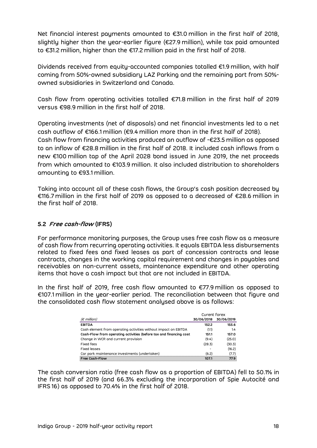Net financial interest payments amounted to €31.0 million in the first half of 2018, slightly higher than the year-earlier figure (€27.9 million), while tax paid amounted to €31.2 million, higher than the €17.2 million paid in the first half of 2018.

Dividends received from equity-accounted companies totalled €1.9 million, with half coming from 50%-owned subsidiary LAZ Parking and the remaining part from 50% owned subsidiaries in Switzerland and Canada.

Cash flow from operating activities totalled €71.8 million in the first half of 2019 versus €98.9 million in the first half of 2018.

Operating investments (net of disposals) and net financial investments led to a net cash outflow of €166.1 million (€9.4 million more than in the first half of 2018). Cash flow from financing activities produced an outflow of -€23.5 million as opposed to an inflow of €28.8 million in the first half of 2018. It included cash inflows from a new €100 million tap of the April 2028 bond issued in June 2019, the net proceeds from which amounted to €103.9 million. It also included distribution to shareholders amounting to €93.1 million.

Taking into account all of these cash flows, the Group's cash position decreased by €116.7 million in the first half of 2019 as opposed to a decreased of €28.6 million in the first half of 2018.

# 5.2 Free cash-flow (IFRS)

For performance monitoring purposes, the Group uses free cash flow as a measure of cash flow from recurring operating activities. It equals EBITDA less disbursements related to fixed fees and fixed leases as part of concession contracts and lease contracts, changes in the working capital requirement and changes in payables and receivables on non-current assets, maintenance expenditure and other operating items that have a cash impact but that are not included in EBITDA. d fees and fixed leases as part of concession contracts and lease<br>ges in the working capital requirement and changes in payables and<br>non-current assets, maintenance expenditure and other operating<br>e a cash impact but that

In the first half of 2019, free cash flow amounted to €77.9 million as opposed to €107.1 million in the year-earlier period. The reconciliation between that figure and the consolidated cash flow statement analysed above is as follows:

| n non-current assets, maintenance expenditure and other operating<br>e a cash impact but that are not included in EBITDA.                                                                            |              |            | nges in the working capital requirement and changes in payables and |
|------------------------------------------------------------------------------------------------------------------------------------------------------------------------------------------------------|--------------|------------|---------------------------------------------------------------------|
| ılf of 2019, free cash flow amounted to €77.9 million as opposed to<br>n the year-earlier period. The reconciliation between that figure and<br>ed cash flow statement analysed above is as follows: |              |            |                                                                     |
|                                                                                                                                                                                                      |              |            |                                                                     |
|                                                                                                                                                                                                      | Curent forex |            |                                                                     |
| $(\epsilon$ million)                                                                                                                                                                                 | 30/06/2018   | 30/06/2019 |                                                                     |
|                                                                                                                                                                                                      | 152.2        | 155.6      |                                                                     |
|                                                                                                                                                                                                      | (1.1)        | 1.4        |                                                                     |
| <b>EBITDA</b><br>Cash element from operating activities without impact on EBITDA<br>Cash-Flow from operating activities (before tax and financing cost                                               | 151.1        | 157.0      |                                                                     |
| Change in WCR and current provision                                                                                                                                                                  | (9.4)        | (25.0)     |                                                                     |
|                                                                                                                                                                                                      | (28.3)       | (30.3)     |                                                                     |
| <b>Fixed fees</b><br><b>Fixed leases</b>                                                                                                                                                             |              | (16.2)     |                                                                     |
| Car park maintenance investments (undertaken)                                                                                                                                                        | (6.2)        | (7.7)      |                                                                     |

The cash conversion ratio (free cash flow as a proportion of EBITDA) fell to 50.1% in the first half of 2019 (and 66.3% excluding the incorporation of Spie Autocité and IFRS 16) as opposed to 70.4% in the first half of 2018.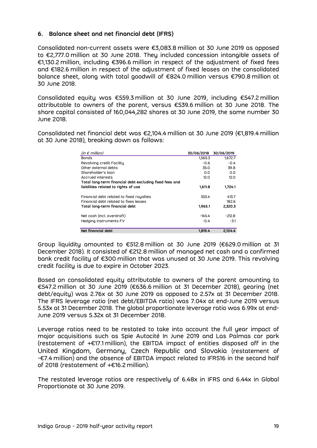# 6. Balance sheet and net financial debt (IFRS)

Consolidated non-current assets were €3,083.8 million at 30 June 2019 as opposed to €2,777.0 million at 30 June 2018. They included concession intangible assets of €1,130.2 million, including €396.6 million in respect of the adjustment of fixed fees and €182.6 million in respect of the adjustment of fixed leases on the consolidated balance sheet, along with total goodwill of €824.0 million versus €790.8 million at 30 June 2018.

Consolidated equity was €559.3 million at 30 June 2019, including €547.2 million attributable to owners of the parent, versus €539.6 million at 30 June 2018. The share capital consisted of 160,044,282 shares at 30 June 2019, the same number 30 June 2018. quity was €559.3 million at 30 June 2019, including €547.2 million<br>
owners of the parent, versus €539.6 million at 30 June 2018. The<br>
onsisted of 160,044,282 shares at 30 June 2019, the same number 30<br>
et financial debt w quity was €559.3 million at 30 June 2019, including €547.2 million<br>
owners of the parent, versus €539.6 million at 30 June 2018. The<br>
onsisted of 160,044,282 shares at 30 June 2019, the same number 30<br>
et financial debt quity was  $\epsilon$ 559.3 million at 30 June 2019, including  $\epsilon$ 547.2 million<br>
owners of the parent, versus  $\epsilon$ 539.6 million at 30 June 2018. The<br>
onsisted of 160,044,282 shares at 30 June 2019, the same number 30<br>
et financi

Consolidated net financial debt was €2,104.4 million at 30 June 2019 (€1,819.4 million at 30 June 2018), breaking down as follows:

| owners of the parent, versus $\epsilon$ 539.6 million at 30 June 2018. The<br>onsisted of 160,044,282 shares at 30 June 2019, the same number 30: |            |            |  |
|---------------------------------------------------------------------------------------------------------------------------------------------------|------------|------------|--|
| et financial debt was €2,104.4 million at 30 June 2019 (€1,819.4 million<br>8), breaking down as follows:                                         |            |            |  |
| (in $\epsilon$ million)                                                                                                                           | 30/06/2018 | 30/06/2019 |  |
| <b>Bonds</b>                                                                                                                                      | 1,565.3    | 1,672.7    |  |
| Revolving credit Facility                                                                                                                         | $-0.6$     | $-0.4$     |  |
| Other external debts                                                                                                                              | 35.0       | 39.8       |  |
| Shareholder's loan                                                                                                                                | 0.0        | 0.0        |  |
| Accrued interests                                                                                                                                 | 12.0       | 12.0       |  |
| Total long-term financial debt excluding fixed fees and                                                                                           |            |            |  |
| liabilities related to rights of use                                                                                                              | 1,611.8    | 1,724.1    |  |
| Financial debt related to fixed royalties                                                                                                         | 353.4      | 413.7      |  |
| Financial debt related to fixes leases                                                                                                            |            | 182.6      |  |
| Total long-term financial debt                                                                                                                    | 1,965.1    | 2,320.3    |  |
| Net cash (incl. overdraft)                                                                                                                        | $-145.4$   | $-212.8$   |  |
| Hedging instruments FV                                                                                                                            | $-0.4$     | $-3.1$     |  |
|                                                                                                                                                   |            |            |  |

Group liquidity amounted to €512.8 million at 30 June 2019 (€629.0 million at 31 December 2018). It consisted of €212.8 million of managed net cash and a confirmed bank credit facility of €300 million that was unused at 30 June 2019. This revolving credit facility is due to expire in October 2023.

Based on consolidated equity attributable to owners of the parent amounting to €547.2 million at 30 June 2019 (€636.6 million at 31 December 2018), gearing (net debt/equity) was 2.76x at 30 June 2019 as opposed to 2.57x at 31 December 2018. The IFRS leverage ratio (net debt/EBITDA ratio) was 7.04x at end-June 2019 versus 5.53x at 31 December 2018. The global proportionate leverage ratio was 6.99x at end-June 2019 versus 5.32x at 31 December 2018.

Leverage ratios need to be restated to take into account the full year impact of major acquisitions such as Spie Autocité In June 2019 and Las Palmas car park (restatement of +€17.1 million), the EBITDA impact of entities disposed off in the United Kingdom, Germany, Czech Republic and Slovakia (restatement of -€7.4 million) and the absence of EBITDA impact related to IFRS16 in the second half of 2018 (restatement of +€16.2 million).

The restated leverage ratios are respectively of 6.48x in IFRS and 6.44x in Global Proportionate at 30 June 2019.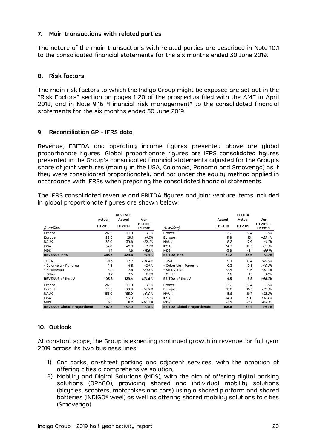## 7. Main transactions with related parties

The nature of the main transactions with related parties are described in Note 10.1 to the consolidated financial statements for the six months ended 30 June 2019.

## 8. Risk factors

The main risk factors to which the Indigo Group might be exposed are set out in the "Risk Factors" section on pages 1-20 of the prospectus filed with the AMF in April 2018, and in Note 9.16 "Financial risk management" to the consolidated financial statements for the six months ended 30 June 2019.

## 9. Reconciliation GP - IFRS data

Revenue, EBITDA and operating income figures presented above are global proportionate figures. Global proportionate figures are IFRS consolidated figures presented in the Group's consolidated financial statements adjusted for the Group's share of joint ventures (mainly in the USA, Colombia, Panama and Smovengo) as if they were consolidated proportionately and not under the equity method applied in accordance with IFRSs when preparing the consolidated financial statements. erating income rigures presented doove are global<br>olal proportionate figures are IFRS consolidated figures<br>inly in the USA, Colombia, Panama and Smovengo) as if<br>pportionately and not under the equity method applied in<br>en p S. Global proportionate figures are IFRS consolidated figures<br>
up's consolidated financial statements adjusted for the Group's<br>
es (mainly in the USA, Colombia, Panama and Smovengo) as if<br>
red proportionately and not under

| global proportionate figures are shown below: |                                             |                                     |                             | resented in the Group's consolidated financial statements adjusted for the Group's<br>hare of joint ventures (mainly in the USA, Colombia, Panama and Smovengo) as if<br>ney were consolidated proportionately and not under the equity method applied in<br>ccordance with IFRSs when preparing the consolidated financial statements.<br>he IFRS consolidated revenue and EBITDA figures and joint venture items included |                   |                                    |                             |
|-----------------------------------------------|---------------------------------------------|-------------------------------------|-----------------------------|-----------------------------------------------------------------------------------------------------------------------------------------------------------------------------------------------------------------------------------------------------------------------------------------------------------------------------------------------------------------------------------------------------------------------------|-------------------|------------------------------------|-----------------------------|
| $(\epsilon$ million)                          | Actual<br>H1 2018                           | <b>REVENUE</b><br>Actual<br>H1 2019 | Var<br>H1 2019 -<br>H1 2018 | $(E$ million)                                                                                                                                                                                                                                                                                                                                                                                                               | Actual<br>H1 2018 | <b>EBITDA</b><br>Actual<br>H1 2019 | Var<br>H1 2019 -<br>H1 2018 |
| France                                        | 217.6                                       | 210.0                               | $-3.5%$                     | France                                                                                                                                                                                                                                                                                                                                                                                                                      | 121.2             | 119.4                              | $-1.5%$                     |
| Europe                                        | 28.6                                        | 29.1                                | $+1.5%$                     | Europe                                                                                                                                                                                                                                                                                                                                                                                                                      | 11.8              | 15.1                               | $+27.4%$                    |
| <b>NAUK</b>                                   | 62.0                                        | 39.6                                | $-36.1%$                    | <b>NAUK</b>                                                                                                                                                                                                                                                                                                                                                                                                                 | 8.2               | 7.9                                | $-4.3%$                     |
| <b>IBSA</b>                                   | 54.0                                        | 49.3                                | $-8.7%$                     | <b>IBSA</b>                                                                                                                                                                                                                                                                                                                                                                                                                 | 14.7              | 19.3                               | $+31.3%$                    |
| <b>MDS</b>                                    | 1.4                                         | 1.6                                 | $+13.6%$                    | <b>MDS</b>                                                                                                                                                                                                                                                                                                                                                                                                                  | $-3.8$            | $-6.1$                             | $+59.1%$                    |
| <b>REVENUE IFRS</b>                           | 363.6                                       | 329.6                               | $-9.4%$                     | <b>EBITDA IFRS</b>                                                                                                                                                                                                                                                                                                                                                                                                          | 152.2             | 155.6                              | $+2.2%$                     |
| - USA                                         | 91.3                                        | 113.7                               | $+24.4%$                    | - USA                                                                                                                                                                                                                                                                                                                                                                                                                       | 5.0               | 8.4                                | +69.5%                      |
| - Colombia - Panama                           | 4.6                                         | 4.5                                 | $-2.4%$                     | - Colombia - Panama                                                                                                                                                                                                                                                                                                                                                                                                         | 0.3               | 0.5                                | +40.2%                      |
| - Smovengo                                    | 4.2                                         | 7.6                                 | $+81.5%$                    | - Smovengo                                                                                                                                                                                                                                                                                                                                                                                                                  | $-2.4$            | $-1.6$                             | $-32.3%$                    |
| - Other                                       | 3.7                                         | 3.6                                 | $-2.3%$                     | - Other                                                                                                                                                                                                                                                                                                                                                                                                                     | 1.6               | 1.5                                | $-3.0%$                     |
| REVENUE of the JV                             | 103.8                                       | 129.4                               | $+24.6%$                    | EBITDA of the JV                                                                                                                                                                                                                                                                                                                                                                                                            | 4.5               | 8.8                                | +96.3%                      |
| France                                        | 217.6                                       | 210.0                               | $-3.5%$                     | France                                                                                                                                                                                                                                                                                                                                                                                                                      | 121.2             | 119.4                              | $-1.5%$                     |
| Europe                                        | 30.6                                        | 30.9                                | $+0.9%$                     | Europe                                                                                                                                                                                                                                                                                                                                                                                                                      | 13.2              | 16.3                               | +23.3%                      |
| <b>NAUK</b>                                   | 155.0                                       | 155.0                               | $+0.0%$                     | <b>NAUK</b>                                                                                                                                                                                                                                                                                                                                                                                                                 | 13.5              | 16.7                               | $+23.2%$                    |
| <b>IBSA</b>                                   | 58.6                                        | 53.8                                | $-8.2%$                     | <b>IBSA</b>                                                                                                                                                                                                                                                                                                                                                                                                                 | 14.9              | 19.8                               | $+32.4%$                    |
| <b>MDS</b>                                    | 5.6                                         | 9.2                                 | $+64.5%$                    | <b>MDS</b>                                                                                                                                                                                                                                                                                                                                                                                                                  | $-6.2$            | $-7.7$                             | $+24.1%$                    |
|                                               | <b>REVENUE Global Proportional</b><br>467.5 | 459.0                               | $-1.8%$                     | <b>EBITDA Global Proportionate</b>                                                                                                                                                                                                                                                                                                                                                                                          | 156.6             | 164.4                              | $+4.9%$                     |

# 10. Outlook

At constant scope, the Group is expecting continued growth in revenue for full-year 2019 across its two business lines:

- 1) Car parks, on-street parking and adjacent services, with the ambition of offering cities a comprehensive solution,
- 2) Mobility and Digital Solutions (MDS), with the aim of offering digital parking solutions (OPnGO), providing shared and individual mobility solutions (bicycles, scooters, motorbikes and cars) using a shared platform and shared batteries (INDIGO® weel) as well as offering shared mobility solutions to cities (Smovengo)